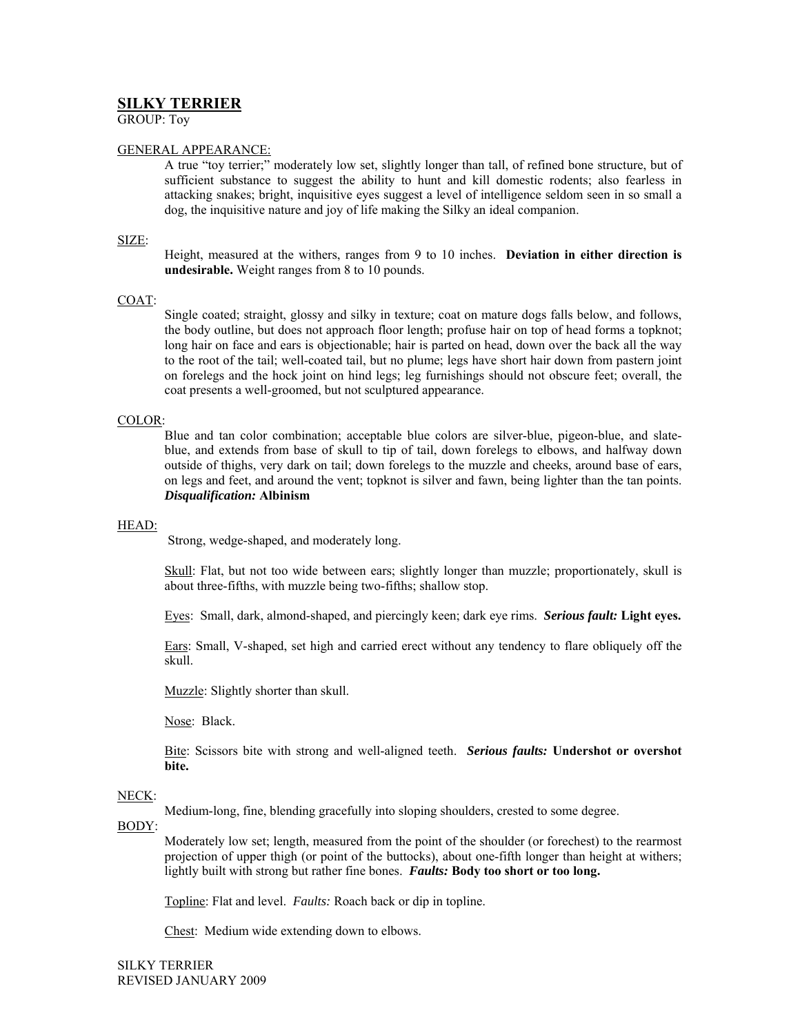# **SILKY TERRIER**

GROUP: Toy

## GENERAL APPEARANCE:

A true "toy terrier;" moderately low set, slightly longer than tall, of refined bone structure, but of sufficient substance to suggest the ability to hunt and kill domestic rodents; also fearless in attacking snakes; bright, inquisitive eyes suggest a level of intelligence seldom seen in so small a dog, the inquisitive nature and joy of life making the Silky an ideal companion.

# SIZE:

Height, measured at the withers, ranges from 9 to 10 inches. **Deviation in either direction is undesirable.** Weight ranges from 8 to 10 pounds.

# COAT:

Single coated; straight, glossy and silky in texture; coat on mature dogs falls below, and follows, the body outline, but does not approach floor length; profuse hair on top of head forms a topknot; long hair on face and ears is objectionable; hair is parted on head, down over the back all the way to the root of the tail; well-coated tail, but no plume; legs have short hair down from pastern joint on forelegs and the hock joint on hind legs; leg furnishings should not obscure feet; overall, the coat presents a well-groomed, but not sculptured appearance.

## COLOR:

Blue and tan color combination; acceptable blue colors are silver-blue, pigeon-blue, and slateblue, and extends from base of skull to tip of tail, down forelegs to elbows, and halfway down outside of thighs, very dark on tail; down forelegs to the muzzle and cheeks, around base of ears, on legs and feet, and around the vent; topknot is silver and fawn, being lighter than the tan points. *Disqualification:* **Albinism** 

# HEAD:

Strong, wedge-shaped, and moderately long.

Skull: Flat, but not too wide between ears; slightly longer than muzzle; proportionately, skull is about three-fifths, with muzzle being two-fifths; shallow stop.

Eyes: Small, dark, almond-shaped, and piercingly keen; dark eye rims. *Serious fault:* **Light eyes.** 

Ears: Small, V-shaped, set high and carried erect without any tendency to flare obliquely off the skull.

Muzzle: Slightly shorter than skull.

Nose: Black.

Bite: Scissors bite with strong and well-aligned teeth. *Serious faults:* **Undershot or overshot bite.** 

## NECK:

Medium-long, fine, blending gracefully into sloping shoulders, crested to some degree.

## BODY:

Moderately low set; length, measured from the point of the shoulder (or forechest) to the rearmost projection of upper thigh (or point of the buttocks), about one-fifth longer than height at withers; lightly built with strong but rather fine bones. *Faults:* **Body too short or too long.** 

Topline: Flat and level. *Faults:* Roach back or dip in topline.

Chest: Medium wide extending down to elbows.

SILKY TERRIER REVISED JANUARY 2009